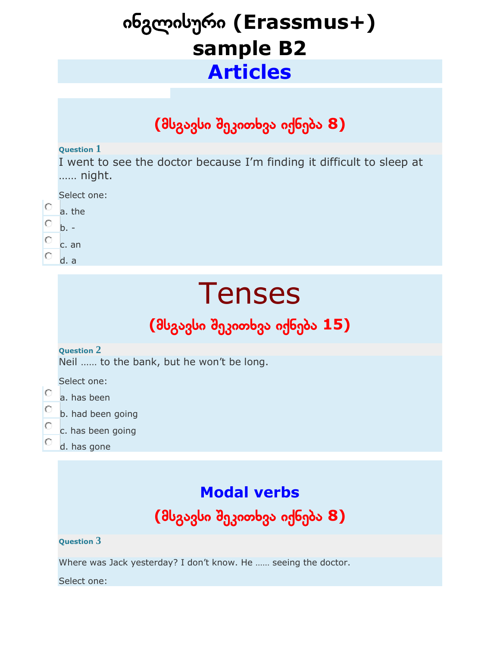# ინგლისური **(Erassmus+) sample B2 Articles**

## **(**მსგავსი შეკითხვა იქნება **8)**

#### **Question 1**

I went to see the doctor because I'm finding it difficult to sleep at …… night.

| Select one: |  |
|-------------|--|
|-------------|--|

- O a. the
- О  $b -$
- O c. an
- O d. a

# **Tenses**

# **(**მსგავსი შეკითხვა იქნება **15)**

#### **Question 2**

Neil …… to the bank, but he won't be long.

Select one:

- O a. has been
- о b. had been going
- O c. has been going
- O d. has gone

# **Modal verbs**

# **(**მსგავსი შეკითხვა იქნება **8)**

#### **Question 3**

Where was Jack yesterday? I don't know. He …… seeing the doctor.

Select one: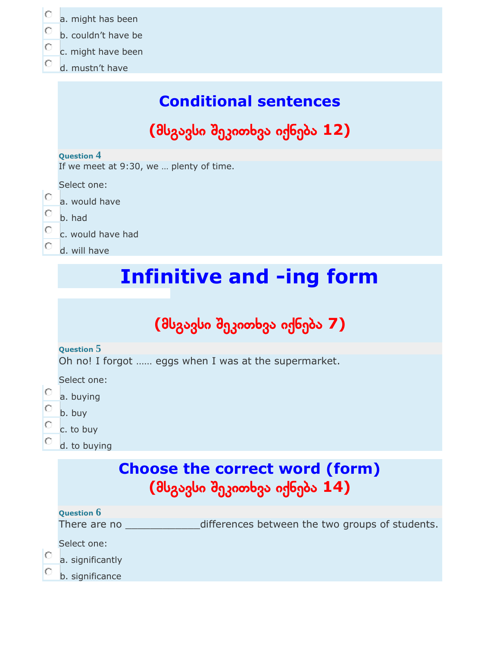| Ō<br>О<br>Ō<br>О                | a. might has been<br>b. couldn't have be<br>c. might have been<br>d. mustn't have |  |  |  |  |
|---------------------------------|-----------------------------------------------------------------------------------|--|--|--|--|
|                                 | <b>Conditional sentences</b>                                                      |  |  |  |  |
|                                 | (მსგავსი შეკითხვა იქნება 12)                                                      |  |  |  |  |
|                                 | <b>Question 4</b><br>If we meet at 9:30, we  plenty of time.                      |  |  |  |  |
| О<br>Ō<br>Ō<br>О                | Select one:<br>a. would have<br>b. had<br>c. would have had<br>d. will have       |  |  |  |  |
| <b>Infinitive and -ing form</b> |                                                                                   |  |  |  |  |
|                                 | (მსგავსი შეკითხვა იქნება 7)                                                       |  |  |  |  |
|                                 | <b>Question 5</b><br>Oh no! I forgot  eggs when I was at the supermarket.         |  |  |  |  |
| O                               | Select one:<br>a. buying<br>b. buy                                                |  |  |  |  |

- $\circ$ c. to buy  $\circ$ 
	- d. to buying

# **Choose the correct word (form) (**მსგავსი შეკითხვა იქნება **14)**

| There are no |  | differences between the two groups of students. |
|--------------|--|-------------------------------------------------|
|--------------|--|-------------------------------------------------|

Select one:

 $\circ$ a. significantly

 $\circ$ b. significance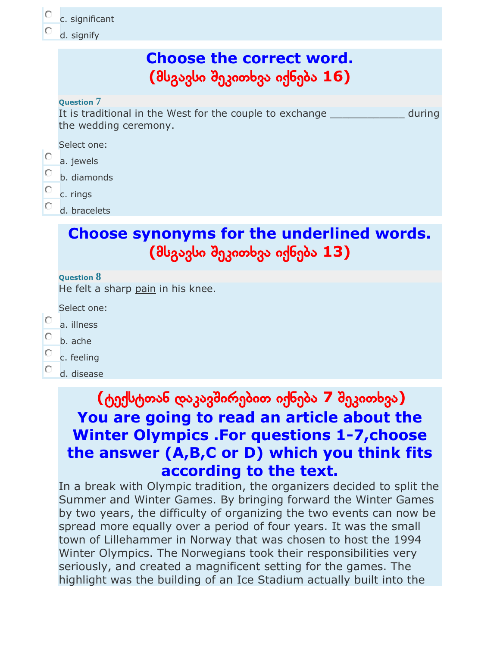c. significant

d. signify

### **Choose the correct word. (**მსგავსი შეკითხვა იქნება **16)**

#### **Question 7**

It is traditional in the West for the couple to exchange Theorem and during the wedding ceremony.

Select one:

- O a. jewels
- b. diamonds
- c. rings
- d. bracelets

### **Choose synonyms for the underlined words. (**მსგავსი შეკითხვა იქნება **13)**

#### **Question 8**

He felt a sharp pain in his knee.

Select one:

- C a. illness
- b. ache
- Ō c. feeling
- O d. disease

### **(**ტექსტთან დაკავშირებით იქნება **7** შეკითხვა**) You are going to read an article about the Winter Olympics .For questions 1-7,choose the answer (A,B,C or D) which you think fits according to the text.**

In a break with Olympic tradition, the organizers decided to split the Summer and Winter Games. By bringing forward the Winter Games by two years, the difficulty of organizing the two events can now be spread more equally over a period of four years. It was the small town of Lillehammer in Norway that was chosen to host the 1994 Winter Olympics. The Norwegians took their responsibilities very seriously, and created a magnificent setting for the games. The highlight was the building of an Ice Stadium actually built into the